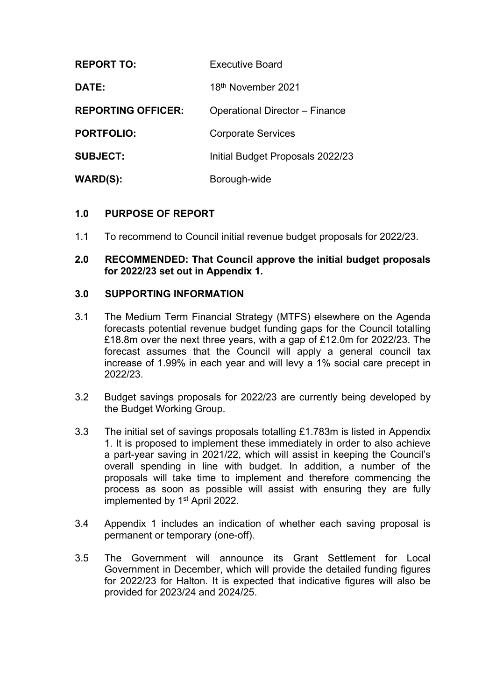| <b>REPORT TO:</b>         | <b>Executive Board</b>           |
|---------------------------|----------------------------------|
| DATE:                     | 18 <sup>th</sup> November 2021   |
| <b>REPORTING OFFICER:</b> | Operational Director - Finance   |
| <b>PORTFOLIO:</b>         | <b>Corporate Services</b>        |
| <b>SUBJECT:</b>           | Initial Budget Proposals 2022/23 |
| WARD(S):                  | Borough-wide                     |

## **1.0 PURPOSE OF REPORT**

1.1 To recommend to Council initial revenue budget proposals for 2022/23.

### **2.0 RECOMMENDED: That Council approve the initial budget proposals for 2022/23 set out in Appendix 1.**

#### **3.0 SUPPORTING INFORMATION**

- 3.1 The Medium Term Financial Strategy (MTFS) elsewhere on the Agenda forecasts potential revenue budget funding gaps for the Council totalling £18.8m over the next three years, with a gap of £12.0m for 2022/23. The forecast assumes that the Council will apply a general council tax increase of 1.99% in each year and will levy a 1% social care precept in 2022/23.
- 3.2 Budget savings proposals for 2022/23 are currently being developed by the Budget Working Group.
- 3.3 The initial set of savings proposals totalling £1.783m is listed in Appendix 1. It is proposed to implement these immediately in order to also achieve a part-year saving in 2021/22, which will assist in keeping the Council's overall spending in line with budget. In addition, a number of the proposals will take time to implement and therefore commencing the process as soon as possible will assist with ensuring they are fully implemented by 1<sup>st</sup> April 2022.
- 3.4 Appendix 1 includes an indication of whether each saving proposal is permanent or temporary (one-off).
- 3.5 The Government will announce its Grant Settlement for Local Government in December, which will provide the detailed funding figures for 2022/23 for Halton. It is expected that indicative figures will also be provided for 2023/24 and 2024/25.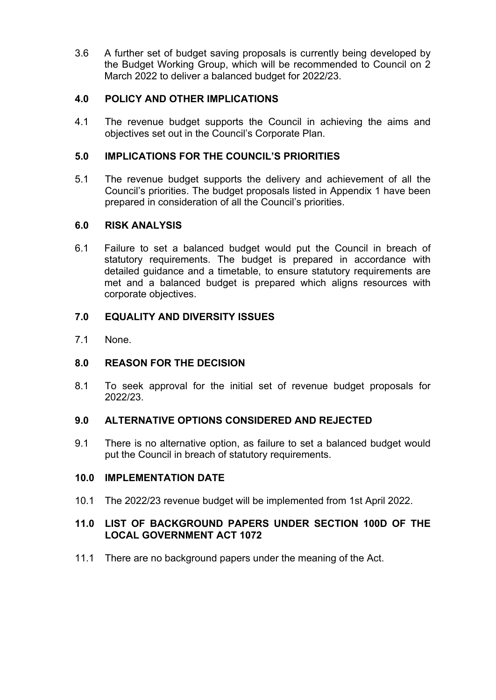3.6 A further set of budget saving proposals is currently being developed by the Budget Working Group, which will be recommended to Council on 2 March 2022 to deliver a balanced budget for 2022/23.

## **4.0 POLICY AND OTHER IMPLICATIONS**

4.1 The revenue budget supports the Council in achieving the aims and objectives set out in the Council's Corporate Plan.

# **5.0 IMPLICATIONS FOR THE COUNCIL'S PRIORITIES**

5.1 The revenue budget supports the delivery and achievement of all the Council's priorities. The budget proposals listed in Appendix 1 have been prepared in consideration of all the Council's priorities.

## **6.0 RISK ANALYSIS**

6.1 Failure to set a balanced budget would put the Council in breach of statutory requirements. The budget is prepared in accordance with detailed guidance and a timetable, to ensure statutory requirements are met and a balanced budget is prepared which aligns resources with corporate objectives.

# **7.0 EQUALITY AND DIVERSITY ISSUES**

7.1 None.

# **8.0 REASON FOR THE DECISION**

8.1 To seek approval for the initial set of revenue budget proposals for 2022/23.

## **9.0 ALTERNATIVE OPTIONS CONSIDERED AND REJECTED**

9.1 There is no alternative option, as failure to set a balanced budget would put the Council in breach of statutory requirements.

## **10.0 IMPLEMENTATION DATE**

10.1 The 2022/23 revenue budget will be implemented from 1st April 2022.

## **11.0 LIST OF BACKGROUND PAPERS UNDER SECTION 100D OF THE LOCAL GOVERNMENT ACT 1072**

11.1 There are no background papers under the meaning of the Act.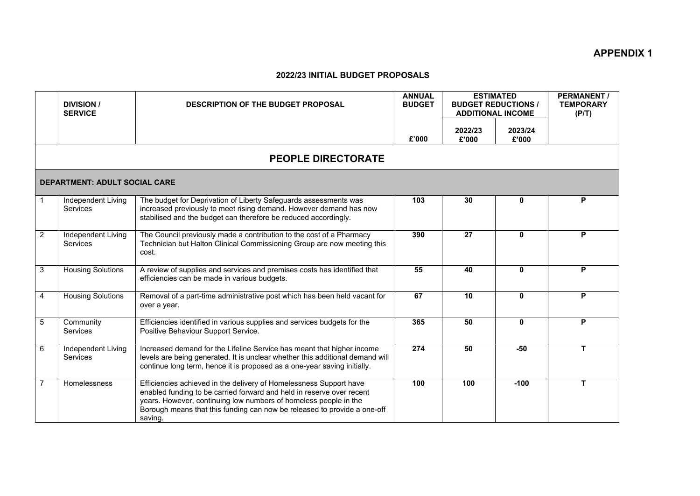#### **2022/23 INITIAL BUDGET PROPOSALS**

|                | <b>DIVISION /</b><br><b>SERVICE</b>  | <b>DESCRIPTION OF THE BUDGET PROPOSAL</b>                                                                                                                                                                                                                                                              | <b>ANNUAL</b><br><b>BUDGET</b> | <b>ESTIMATED</b><br><b>BUDGET REDUCTIONS /</b><br><b>ADDITIONAL INCOME</b> |                  | <b>PERMANENT/</b><br><b>TEMPORARY</b><br>(P/T) |
|----------------|--------------------------------------|--------------------------------------------------------------------------------------------------------------------------------------------------------------------------------------------------------------------------------------------------------------------------------------------------------|--------------------------------|----------------------------------------------------------------------------|------------------|------------------------------------------------|
|                |                                      |                                                                                                                                                                                                                                                                                                        | £'000                          | 2022/23<br>£'000                                                           | 2023/24<br>£'000 |                                                |
|                |                                      | <b>PEOPLE DIRECTORATE</b>                                                                                                                                                                                                                                                                              |                                |                                                                            |                  |                                                |
|                | <b>DEPARTMENT: ADULT SOCIAL CARE</b> |                                                                                                                                                                                                                                                                                                        |                                |                                                                            |                  |                                                |
|                | Independent Living<br>Services       | The budget for Deprivation of Liberty Safeguards assessments was<br>increased previously to meet rising demand. However demand has now<br>stabilised and the budget can therefore be reduced accordingly.                                                                                              | 103                            | 30                                                                         | 0                | P                                              |
| $\overline{2}$ | Independent Living<br>Services       | The Council previously made a contribution to the cost of a Pharmacy<br>Technician but Halton Clinical Commissioning Group are now meeting this<br>cost.                                                                                                                                               | 390                            | 27                                                                         | $\mathbf{0}$     | P                                              |
| 3              | <b>Housing Solutions</b>             | A review of supplies and services and premises costs has identified that<br>efficiencies can be made in various budgets.                                                                                                                                                                               | 55                             | 40                                                                         | $\mathbf{0}$     | P                                              |
| $\overline{4}$ | <b>Housing Solutions</b>             | Removal of a part-time administrative post which has been held vacant for<br>over a year.                                                                                                                                                                                                              | 67                             | $\overline{10}$                                                            | $\mathbf{0}$     | P                                              |
| 5              | Community<br>Services                | Efficiencies identified in various supplies and services budgets for the<br>Positive Behaviour Support Service.                                                                                                                                                                                        | 365                            | 50                                                                         | $\mathbf{0}$     | P                                              |
| 6              | Independent Living<br>Services       | Increased demand for the Lifeline Service has meant that higher income<br>levels are being generated. It is unclear whether this additional demand will<br>continue long term, hence it is proposed as a one-year saving initially.                                                                    | 274                            | 50                                                                         | $-50$            | T                                              |
| $\overline{7}$ | Homelessness                         | Efficiencies achieved in the delivery of Homelessness Support have<br>enabled funding to be carried forward and held in reserve over recent<br>years. However, continuing low numbers of homeless people in the<br>Borough means that this funding can now be released to provide a one-off<br>saving. | 100                            | 100                                                                        | $-100$           | $\mathbf{T}$                                   |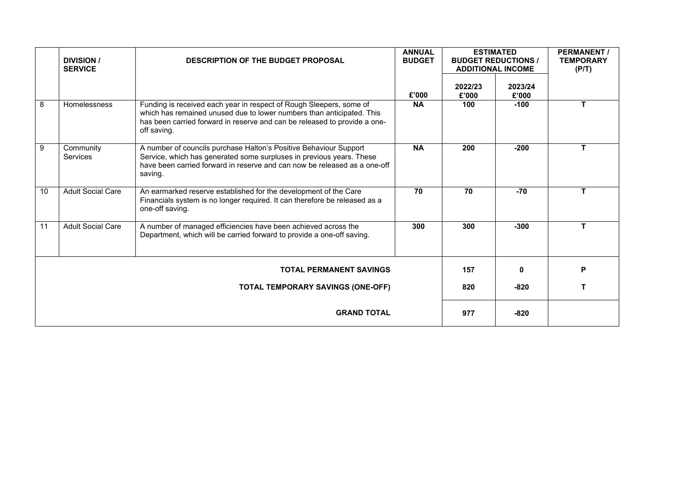|    | <b>DIVISION /</b><br><b>SERVICE</b> | <b>DESCRIPTION OF THE BUDGET PROPOSAL</b>                                                                                                                                                                                                | <b>ANNUAL</b><br><b>BUDGET</b> |                  | <b>ESTIMATED</b><br><b>BUDGET REDUCTIONS /</b><br><b>ADDITIONAL INCOME</b> | <b>PERMANENT</b><br><b>TEMPORARY</b><br>(P/T) |
|----|-------------------------------------|------------------------------------------------------------------------------------------------------------------------------------------------------------------------------------------------------------------------------------------|--------------------------------|------------------|----------------------------------------------------------------------------|-----------------------------------------------|
|    |                                     |                                                                                                                                                                                                                                          | £'000                          | 2022/23<br>£'000 | 2023/24<br>£'000                                                           |                                               |
| 8  | Homelessness                        | Funding is received each year in respect of Rough Sleepers, some of<br>which has remained unused due to lower numbers than anticipated. This<br>has been carried forward in reserve and can be released to provide a one-<br>off saving. | <b>NA</b>                      | 100              | $-100$                                                                     | T                                             |
| 9  | Community<br><b>Services</b>        | A number of councils purchase Halton's Positive Behaviour Support<br>Service, which has generated some surpluses in previous years. These<br>have been carried forward in reserve and can now be released as a one-off<br>saving.        | <b>NA</b>                      | 200              | $-200$                                                                     | T                                             |
| 10 | <b>Adult Social Care</b>            | An earmarked reserve established for the development of the Care<br>Financials system is no longer required. It can therefore be released as a<br>one-off saving.                                                                        | 70                             | 70               | $-70$                                                                      | T                                             |
| 11 | <b>Adult Social Care</b>            | A number of managed efficiencies have been achieved across the<br>Department, which will be carried forward to provide a one-off saving.                                                                                                 | 300                            | 300              | $-300$                                                                     | T                                             |
|    |                                     | <b>TOTAL PERMANENT SAVINGS</b>                                                                                                                                                                                                           |                                | 157              | O                                                                          | P                                             |
|    |                                     | <b>TOTAL TEMPORARY SAVINGS (ONE-OFF)</b>                                                                                                                                                                                                 |                                | 820              | $-820$                                                                     | т                                             |
|    |                                     | <b>GRAND TOTAL</b>                                                                                                                                                                                                                       |                                | 977              | $-820$                                                                     |                                               |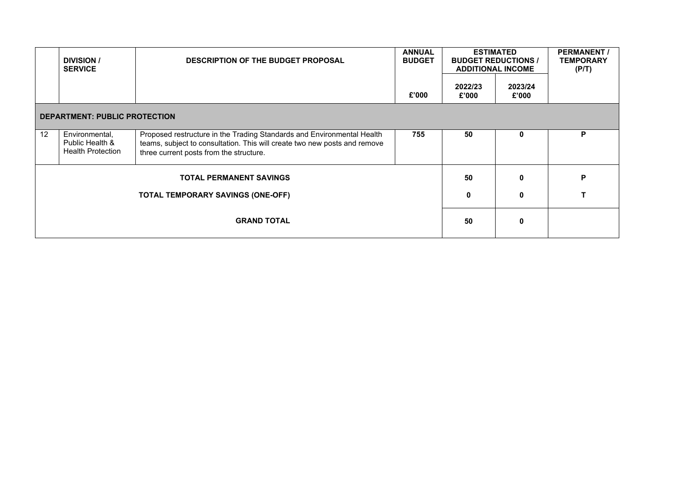|    | <b>DIVISION</b> /<br><b>SERVICE</b>                           | <b>DESCRIPTION OF THE BUDGET PROPOSAL</b>                                                                                                                                                      | <b>ANNUAL</b><br><b>BUDGET</b> |                  | <b>ESTIMATED</b><br><b>BUDGET REDUCTIONS /</b><br><b>ADDITIONAL INCOME</b> | <b>PERMANENT/</b><br><b>TEMPORARY</b><br>(P/T) |
|----|---------------------------------------------------------------|------------------------------------------------------------------------------------------------------------------------------------------------------------------------------------------------|--------------------------------|------------------|----------------------------------------------------------------------------|------------------------------------------------|
|    |                                                               |                                                                                                                                                                                                | £'000                          | 2022/23<br>£'000 | 2023/24<br>£'000                                                           |                                                |
|    | <b>DEPARTMENT: PUBLIC PROTECTION</b>                          |                                                                                                                                                                                                |                                |                  |                                                                            |                                                |
| 12 | Environmental,<br>Public Health &<br><b>Health Protection</b> | Proposed restructure in the Trading Standards and Environmental Health<br>teams, subject to consultation. This will create two new posts and remove<br>three current posts from the structure. | 755                            | 50               | 0                                                                          | P                                              |
|    |                                                               | <b>TOTAL PERMANENT SAVINGS</b>                                                                                                                                                                 |                                | 50               | $\bf{0}$                                                                   | P                                              |
|    |                                                               | <b>TOTAL TEMPORARY SAVINGS (ONE-OFF)</b>                                                                                                                                                       |                                | $\mathbf 0$      | 0                                                                          |                                                |
|    |                                                               | <b>GRAND TOTAL</b>                                                                                                                                                                             |                                | 50               | $\bf{0}$                                                                   |                                                |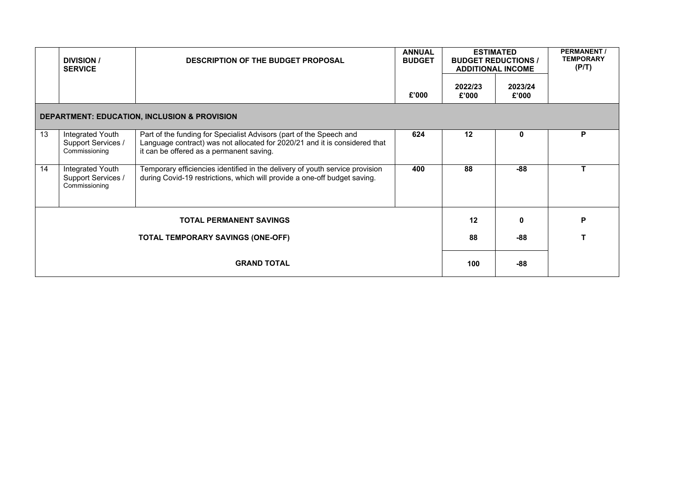|    | <b>DIVISION</b> /<br><b>SERVICE</b>                     | <b>DESCRIPTION OF THE BUDGET PROPOSAL</b>                                                                                                                                                     | <b>ANNUAL</b><br><b>BUDGET</b> |                  | <b>ESTIMATED</b><br><b>BUDGET REDUCTIONS /</b><br><b>ADDITIONAL INCOME</b> | <b>PERMANENT/</b><br><b>TEMPORARY</b><br>(P/T) |
|----|---------------------------------------------------------|-----------------------------------------------------------------------------------------------------------------------------------------------------------------------------------------------|--------------------------------|------------------|----------------------------------------------------------------------------|------------------------------------------------|
|    |                                                         |                                                                                                                                                                                               | £'000                          | 2022/23<br>£'000 | 2023/24<br>£'000                                                           |                                                |
|    |                                                         | <b>DEPARTMENT: EDUCATION, INCLUSION &amp; PROVISION</b>                                                                                                                                       |                                |                  |                                                                            |                                                |
| 13 | Integrated Youth<br>Support Services /<br>Commissioning | Part of the funding for Specialist Advisors (part of the Speech and<br>Language contract) was not allocated for 2020/21 and it is considered that<br>it can be offered as a permanent saving. | 624                            | 12               | 0                                                                          | P                                              |
| 14 | Integrated Youth<br>Support Services /<br>Commissioning | Temporary efficiencies identified in the delivery of youth service provision<br>during Covid-19 restrictions, which will provide a one-off budget saving.                                     | 400                            | 88               | $-88$                                                                      |                                                |
|    |                                                         | <b>TOTAL PERMANENT SAVINGS</b>                                                                                                                                                                |                                | 12               | $\mathbf{0}$                                                               | P                                              |
|    |                                                         | <b>TOTAL TEMPORARY SAVINGS (ONE-OFF)</b>                                                                                                                                                      |                                | 88               | -88                                                                        | т                                              |
|    |                                                         | <b>GRAND TOTAL</b>                                                                                                                                                                            |                                | 100              | $-88$                                                                      |                                                |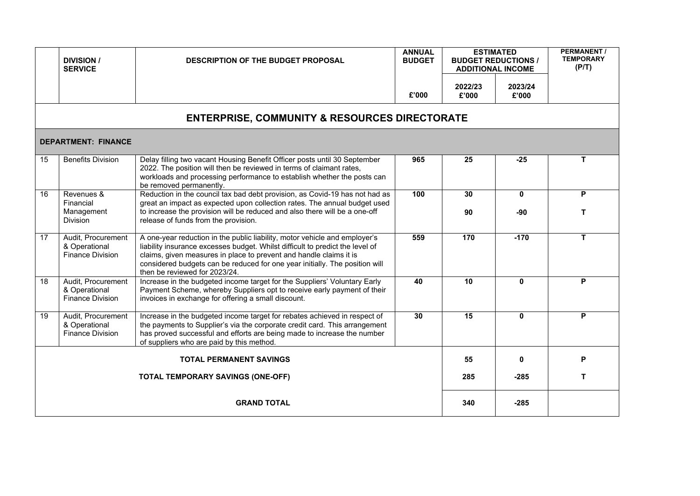|    | <b>DIVISION /</b><br><b>SERVICE</b>                            | <b>DESCRIPTION OF THE BUDGET PROPOSAL</b>                                                                                                                                                                                                                                                                                                         | <b>ANNUAL</b><br><b>BUDGET</b> | <b>ESTIMATED</b><br><b>BUDGET REDUCTIONS /</b><br><b>ADDITIONAL INCOME</b> |                     | <b>PERMANENT /</b><br><b>TEMPORARY</b><br>(P/T) |
|----|----------------------------------------------------------------|---------------------------------------------------------------------------------------------------------------------------------------------------------------------------------------------------------------------------------------------------------------------------------------------------------------------------------------------------|--------------------------------|----------------------------------------------------------------------------|---------------------|-------------------------------------------------|
|    |                                                                |                                                                                                                                                                                                                                                                                                                                                   | £'000                          | 2022/23<br>£'000                                                           | 2023/24<br>£'000    |                                                 |
|    |                                                                | <b>ENTERPRISE, COMMUNITY &amp; RESOURCES DIRECTORATE</b>                                                                                                                                                                                                                                                                                          |                                |                                                                            |                     |                                                 |
|    | <b>DEPARTMENT: FINANCE</b>                                     |                                                                                                                                                                                                                                                                                                                                                   |                                |                                                                            |                     |                                                 |
| 15 | <b>Benefits Division</b>                                       | Delay filling two vacant Housing Benefit Officer posts until 30 September<br>2022. The position will then be reviewed in terms of claimant rates,<br>workloads and processing performance to establish whether the posts can<br>be removed permanently.                                                                                           | 965                            | 25                                                                         | $-25$               | T                                               |
| 16 | Revenues &<br>Financial<br>Management<br>Division              | Reduction in the council tax bad debt provision, as Covid-19 has not had as<br>great an impact as expected upon collection rates. The annual budget used<br>to increase the provision will be reduced and also there will be a one-off<br>release of funds from the provision.                                                                    | 100                            | 30<br>90                                                                   | $\mathbf{0}$<br>-90 | P<br>T                                          |
| 17 | Audit, Procurement<br>& Operational<br><b>Finance Division</b> | A one-year reduction in the public liability, motor vehicle and employer's<br>liability insurance excesses budget. Whilst difficult to predict the level of<br>claims, given measures in place to prevent and handle claims it is<br>considered budgets can be reduced for one year initially. The position will<br>then be reviewed for 2023/24. | 559                            | 170                                                                        | $-170$              | T                                               |
| 18 | Audit, Procurement<br>& Operational<br><b>Finance Division</b> | Increase in the budgeted income target for the Suppliers' Voluntary Early<br>Payment Scheme, whereby Suppliers opt to receive early payment of their<br>invoices in exchange for offering a small discount.                                                                                                                                       | 40                             | 10                                                                         | $\mathbf{0}$        | P                                               |
| 19 | Audit, Procurement<br>& Operational<br><b>Finance Division</b> | Increase in the budgeted income target for rebates achieved in respect of<br>the payments to Supplier's via the corporate credit card. This arrangement<br>has proved successful and efforts are being made to increase the number<br>of suppliers who are paid by this method.                                                                   | 30                             | $\overline{15}$                                                            | $\mathbf{0}$        | P                                               |
|    |                                                                | <b>TOTAL PERMANENT SAVINGS</b>                                                                                                                                                                                                                                                                                                                    |                                | 55                                                                         | $\mathbf{0}$        | P                                               |
|    |                                                                | <b>TOTAL TEMPORARY SAVINGS (ONE-OFF)</b>                                                                                                                                                                                                                                                                                                          |                                | 285                                                                        | $-285$              | T                                               |
|    |                                                                | <b>GRAND TOTAL</b>                                                                                                                                                                                                                                                                                                                                |                                | 340                                                                        | -285                |                                                 |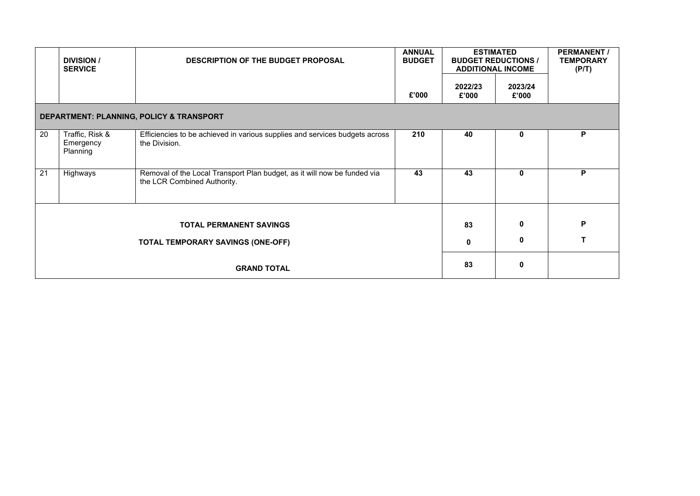|    | <b>DIVISION /</b><br><b>SERVICE</b>      | <b>DESCRIPTION OF THE BUDGET PROPOSAL</b>                                                               | <b>ANNUAL</b><br><b>BUDGET</b> |                  | <b>ESTIMATED</b><br><b>BUDGET REDUCTIONS /</b><br><b>ADDITIONAL INCOME</b> | <b>PERMANENT/</b><br><b>TEMPORARY</b><br>(P/T) |
|----|------------------------------------------|---------------------------------------------------------------------------------------------------------|--------------------------------|------------------|----------------------------------------------------------------------------|------------------------------------------------|
|    |                                          |                                                                                                         | £'000                          | 2022/23<br>£'000 | 2023/24<br>£'000                                                           |                                                |
|    |                                          | DEPARTMENT: PLANNING, POLICY & TRANSPORT                                                                |                                |                  |                                                                            |                                                |
| 20 | Traffic, Risk &<br>Emergency<br>Planning | Efficiencies to be achieved in various supplies and services budgets across<br>the Division.            | 210                            | 40               | $\mathbf 0$                                                                | P                                              |
| 21 | Highways                                 | Removal of the Local Transport Plan budget, as it will now be funded via<br>the LCR Combined Authority. | 43                             | 43               | $\mathbf{0}$                                                               | P                                              |
|    |                                          |                                                                                                         |                                |                  |                                                                            |                                                |
|    |                                          | <b>TOTAL PERMANENT SAVINGS</b>                                                                          |                                | 83               | $\mathbf 0$                                                                | P                                              |
|    |                                          | <b>TOTAL TEMPORARY SAVINGS (ONE-OFF)</b>                                                                |                                | $\mathbf{0}$     | 0                                                                          | т                                              |
|    |                                          | <b>GRAND TOTAL</b>                                                                                      |                                | 83               | $\mathbf 0$                                                                |                                                |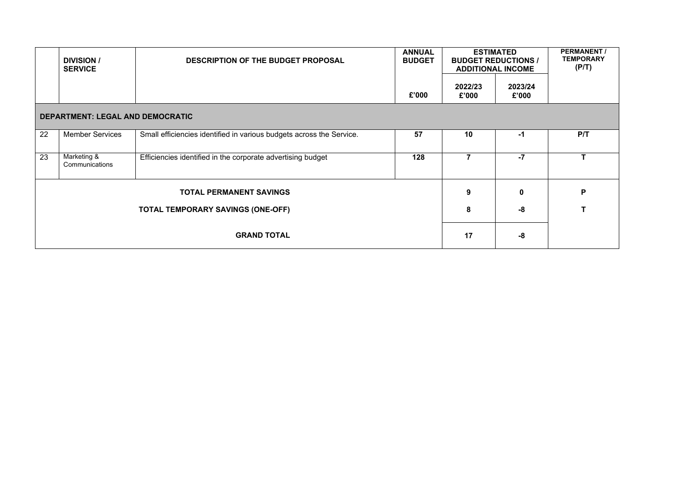|    | <b>DIVISION</b> /<br><b>SERVICE</b>     | <b>DESCRIPTION OF THE BUDGET PROPOSAL</b>                            | <b>ANNUAL</b><br><b>BUDGET</b> |                  | <b>ESTIMATED</b><br><b>BUDGET REDUCTIONS /</b><br><b>ADDITIONAL INCOME</b> | <b>PERMANENT/</b><br><b>TEMPORARY</b><br>(P/T) |
|----|-----------------------------------------|----------------------------------------------------------------------|--------------------------------|------------------|----------------------------------------------------------------------------|------------------------------------------------|
|    |                                         |                                                                      | £'000                          | 2022/23<br>£'000 | 2023/24<br>£'000                                                           |                                                |
|    | <b>DEPARTMENT: LEGAL AND DEMOCRATIC</b> |                                                                      |                                |                  |                                                                            |                                                |
| 22 | <b>Member Services</b>                  | Small efficiencies identified in various budgets across the Service. | 57                             | 10               | -1                                                                         | P/T                                            |
| 23 | Marketing &<br>Communications           | Efficiencies identified in the corporate advertising budget          | 128                            | 7                | $-7$                                                                       | т                                              |
|    |                                         | <b>TOTAL PERMANENT SAVINGS</b>                                       |                                | 9                | $\mathbf{0}$                                                               | P                                              |
|    |                                         | TOTAL TEMPORARY SAVINGS (ONE-OFF)                                    |                                | 8                | -8                                                                         |                                                |
|    |                                         | <b>GRAND TOTAL</b>                                                   |                                | 17               | -8                                                                         |                                                |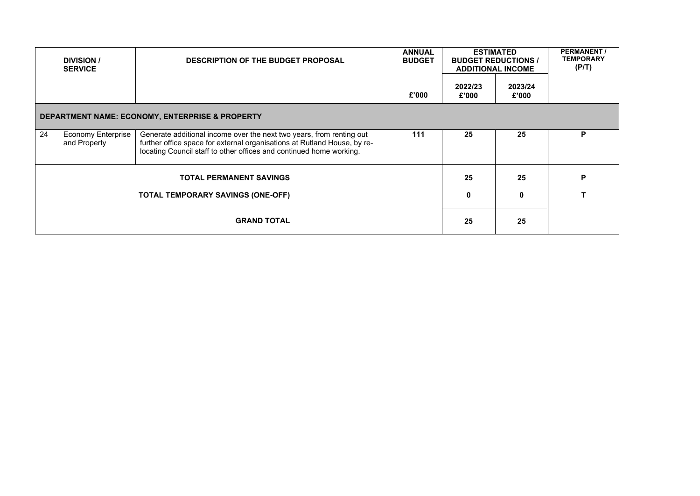|    | <b>DIVISION</b> /<br><b>SERVICE</b>       | <b>DESCRIPTION OF THE BUDGET PROPOSAL</b>                                                                                                                                                                               | <b>ANNUAL</b><br><b>BUDGET</b> |                  | <b>ESTIMATED</b><br><b>BUDGET REDUCTIONS /</b><br><b>ADDITIONAL INCOME</b> | <b>PERMANENT/</b><br><b>TEMPORARY</b><br>(P/T) |
|----|-------------------------------------------|-------------------------------------------------------------------------------------------------------------------------------------------------------------------------------------------------------------------------|--------------------------------|------------------|----------------------------------------------------------------------------|------------------------------------------------|
|    |                                           |                                                                                                                                                                                                                         | £'000                          | 2022/23<br>£'000 | 2023/24<br>£'000                                                           |                                                |
|    |                                           | DEPARTMENT NAME: ECONOMY, ENTERPRISE & PROPERTY                                                                                                                                                                         |                                |                  |                                                                            |                                                |
| 24 | <b>Economy Enterprise</b><br>and Property | Generate additional income over the next two years, from renting out<br>further office space for external organisations at Rutland House, by re-<br>locating Council staff to other offices and continued home working. | 111                            | 25               | 25                                                                         | P                                              |
|    |                                           | <b>TOTAL PERMANENT SAVINGS</b>                                                                                                                                                                                          |                                | 25               | 25                                                                         | P                                              |
|    |                                           | TOTAL TEMPORARY SAVINGS (ONE-OFF)                                                                                                                                                                                       |                                | 0                | 0                                                                          |                                                |
|    |                                           | <b>GRAND TOTAL</b>                                                                                                                                                                                                      |                                | 25               | 25                                                                         |                                                |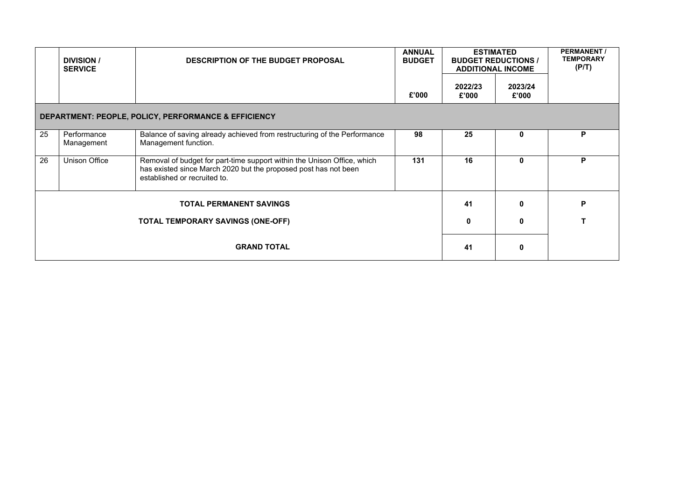|    | <b>DIVISION</b> /<br><b>SERVICE</b> | <b>DESCRIPTION OF THE BUDGET PROPOSAL</b>                                                                                                                                  | <b>ANNUAL</b><br><b>BUDGET</b> |                  | <b>ESTIMATED</b><br><b>BUDGET REDUCTIONS /</b><br><b>ADDITIONAL INCOME</b> | <b>PERMANENT/</b><br><b>TEMPORARY</b><br>(PIT) |
|----|-------------------------------------|----------------------------------------------------------------------------------------------------------------------------------------------------------------------------|--------------------------------|------------------|----------------------------------------------------------------------------|------------------------------------------------|
|    |                                     |                                                                                                                                                                            | £'000                          | 2022/23<br>£'000 | 2023/24<br>£'000                                                           |                                                |
|    |                                     | DEPARTMENT: PEOPLE, POLICY, PERFORMANCE & EFFICIENCY                                                                                                                       |                                |                  |                                                                            |                                                |
| 25 | Performance<br>Management           | Balance of saving already achieved from restructuring of the Performance<br>Management function.                                                                           | 98                             | 25               | $\mathbf{0}$                                                               | P                                              |
| 26 | Unison Office                       | Removal of budget for part-time support within the Unison Office, which<br>has existed since March 2020 but the proposed post has not been<br>established or recruited to. | 131                            | 16               | 0                                                                          | P                                              |
|    |                                     | <b>TOTAL PERMANENT SAVINGS</b>                                                                                                                                             |                                | 41               |                                                                            | P                                              |
|    |                                     | <b>TOTAL TEMPORARY SAVINGS (ONE-OFF)</b>                                                                                                                                   |                                | 0                |                                                                            |                                                |
|    |                                     | <b>GRAND TOTAL</b>                                                                                                                                                         |                                | 41               | 0                                                                          |                                                |